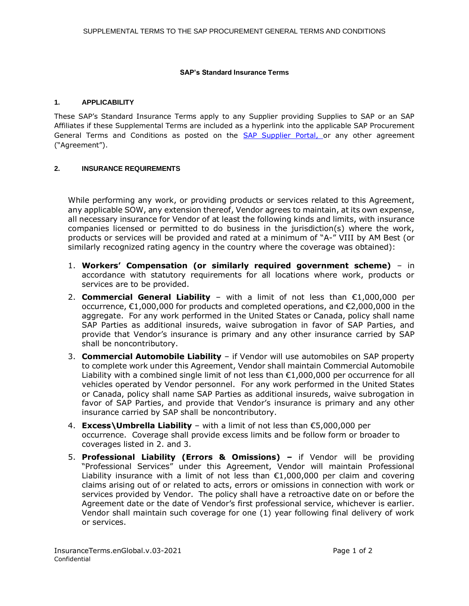## **SAP's Standard Insurance Terms**

## **1. APPLICABILITY**

These SAP's Standard Insurance Terms apply to any Supplier providing Supplies to SAP or an SAP Affiliates if these Supplemental Terms are included as a hyperlink into the applicable SAP Procurement General Terms and Conditions as posted on the [SAP Supplier Portal,](https://www.sap.com/germany/about/agreements/sap-supplier-portal/terms-and-conditions.html) or any other agreement ("Agreement").

## **2. INSURANCE REQUIREMENTS**

While performing any work, or providing products or services related to this Agreement, any applicable SOW, any extension thereof, Vendor agrees to maintain, at its own expense, all necessary insurance for Vendor of at least the following kinds and limits, with insurance companies licensed or permitted to do business in the jurisdiction(s) where the work, products or services will be provided and rated at a minimum of "A-" VIII by AM Best (or similarly recognized rating agency in the country where the coverage was obtained):

- 1. **Workers' Compensation (or similarly required government scheme)** in accordance with statutory requirements for all locations where work, products or services are to be provided.
- 2. **Commercial General Liability** with a limit of not less than €1,000,000 per occurrence, €1,000,000 for products and completed operations, and €2,000,000 in the aggregate. For any work performed in the United States or Canada, policy shall name SAP Parties as additional insureds, waive subrogation in favor of SAP Parties, and provide that Vendor's insurance is primary and any other insurance carried by SAP shall be noncontributory.
- 3. **Commercial Automobile Liability** if Vendor will use automobiles on SAP property to complete work under this Agreement, Vendor shall maintain Commercial Automobile Liability with a combined single limit of not less than  $£1,000,000$  per occurrence for all vehicles operated by Vendor personnel. For any work performed in the United States or Canada, policy shall name SAP Parties as additional insureds, waive subrogation in favor of SAP Parties, and provide that Vendor's insurance is primary and any other insurance carried by SAP shall be noncontributory.
- 4. **Excess\Umbrella Liability** with a limit of not less than €5,000,000 per occurrence. Coverage shall provide excess limits and be follow form or broader to coverages listed in 2. and 3.
- 5. **Professional Liability (Errors & Omissions) –** if Vendor will be providing "Professional Services" under this Agreement, Vendor will maintain Professional Liability insurance with a limit of not less than  $£1,000,000$  per claim and covering claims arising out of or related to acts, errors or omissions in connection with work or services provided by Vendor. The policy shall have a retroactive date on or before the Agreement date or the date of Vendor's first professional service, whichever is earlier. Vendor shall maintain such coverage for one (1) year following final delivery of work or services.